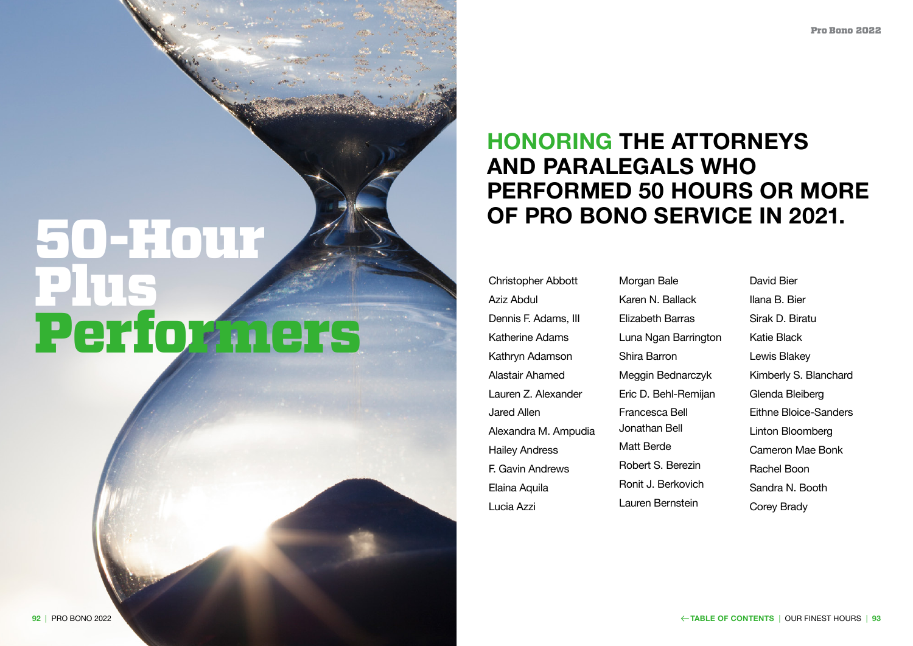## **HONORING THE ATTORNEYS AND PARALEGALS WHO PERFORMED 50 HOURS OR MORE OF PRO BONO SERVICE IN 2021.**

Christopher Abbott Aziz Abdul Dennis F. Adams, III Katherine Adams Kathryn Adamson Alastair Ahamed Lauren Z. Alexander Jared Allen Alexandra M. Ampudia Hailey Andress F. Gavin Andrews Elaina Aquila Lucia Azzi

**Morgan Bale** Karen N. Ballacl Elizabeth Barras Luna Ngan Barr Shira Barron Meggin Bednard Eric D. Behl-Re Francesca Bell Jonathan Bell Matt Berde Robert S. Berez Ronit J. Berkov Lauren Bernstei

|           | <b>David Bier</b>       |
|-----------|-------------------------|
| k         | Ilana B. Bier           |
| S         | Sirak D. Biratu         |
| ʻington   | Katie Black             |
|           | Lewis Blakey            |
| czyk      | Kimberly S. Blanchard   |
| mijan     | Glenda Bleiberg         |
|           | Eithne Bloice-Sanders   |
|           | Linton Bloomberg        |
|           | <b>Cameron Mae Bonk</b> |
| <u>in</u> | Rachel Boon             |
| ich       | Sandra N. Booth         |
| in        | Corey Brady             |

## 50-Hour Plus Performers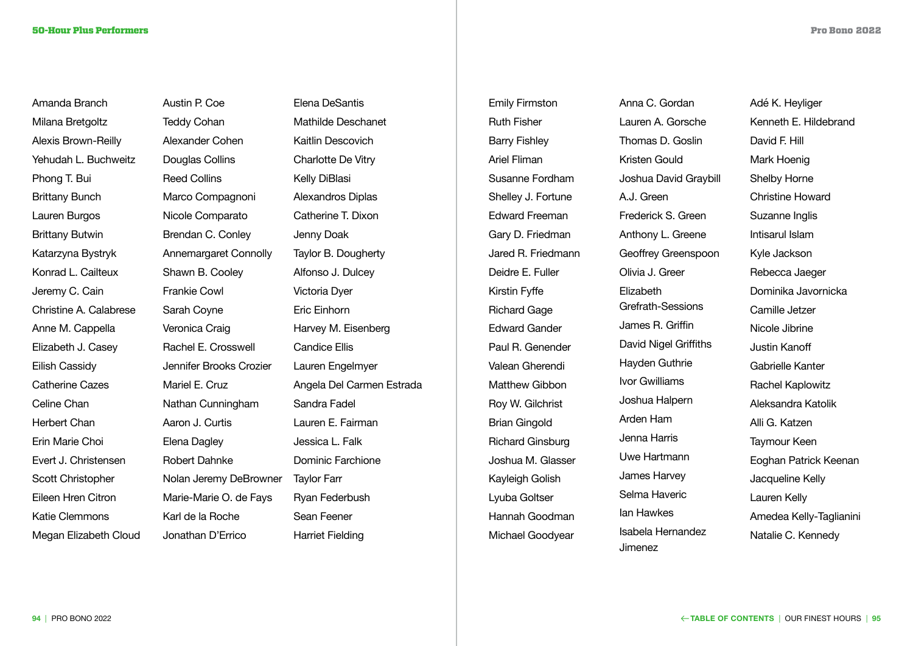Amanda Branch Milana Bretgoltz Alexis Brown-Reilly Yehudah L. Buchweitz Phong T. Bui Brittany Bunch Lauren Burgos Brittany Butwin Katarzyna Bystryk Konrad L. Cailteux Jeremy C. Cain Christine A. Calabrese Anne M. Cappella Elizabeth J. Casey Eilish Cassidy Catherine Cazes Celine Chan Herbert Chan Erin Marie Choi Evert J. Christensen Scott Christopher Eileen Hren Citron Katie Clemmons Megan Elizabeth Cloud

Austin P. Coe Teddy Cohan Alexander Cohen Douglas Collins Reed Collins Marco Compagnoni Nicole Comparato Brendan C. Conley Annemargaret Connolly Shawn B. Cooley Frankie Cowl Sarah Coyne Veronica Craig Rachel E. Crosswell Jennifer Brooks Crozier Mariel E. Cruz Nathan Cunningham Aaron J. Curtis Elena Dagley Robert Dahnke Nolan Jeremy DeBrowner Marie-Marie O. de Fays Karl de la Roche Jonathan D'Errico

Elena DeSantis Mathilde Deschanet Kaitlin Descovich Charlotte De Vitry Kelly DiBlasi Alexandros Diplas Catherine T. Dixon Jenny Doak Taylor B. Dougherty Alfonso J. Dulcey Victoria Dyer Eric Einhorn Harvey M. Eisenberg Candice Ellis Lauren Engelmyer Angela Del Carmen Estrada Sandra Fadel Lauren E. Fairman Jessica L. Falk Dominic Farchione Taylor Farr Ryan Federbush Sean Feener Harriet Fielding

Emily Firmston Ruth Fisher Barry Fishley Ariel Fliman Susanne Fordham Shelley J. Fortune Edward Freeman Gary D. Friedman Jared R. Friedmann Deidre E. Fuller Kirstin Fyffe **Richard Gage** Edward Gander Paul R. Genender Valean Gherendi Matthew Gibbon Roy W. Gilchrist Brian Gingold Richard Ginsburg Joshua M. Glasser Kayleigh Golish Lyuba Goltser Hannah Goodman Michael Goodyear

Anna C. Gordan Lauren A. Gorso Thomas D. Gos Kristen Gould Joshua David G A.J. Green Frederick S. Gre Anthony L. Gree **Geoffrey Greens** Olivia J. Greer Elizabeth Grefrath-Session James R. Griffin David Nigel Grif Hayden Guthrie Ivor Gwilliams Joshua Halpern Arden Ham Jenna Harris Uwe Hartmann James Harvey Selma Haveric Ian Hawkes Isabela Hernand Jimenez

| n               | Adé K. Heyliger         |
|-----------------|-------------------------|
| che             | Kenneth E. Hildebrand   |
| slin            | David F. Hill           |
|                 | Mark Hoenig             |
| <b>Graybill</b> | <b>Shelby Horne</b>     |
|                 | <b>Christine Howard</b> |
| een             | Suzanne Inglis          |
| ene             | Intisarul Islam         |
| spoon           | Kyle Jackson            |
|                 | Rebecca Jaeger          |
|                 | Dominika Javornicka     |
| ons             | <b>Camille Jetzer</b>   |
| า               | Nicole Jibrine          |
| ffiths          | <b>Justin Kanoff</b>    |
| €               | <b>Gabrielle Kanter</b> |
|                 | <b>Rachel Kaplowitz</b> |
| ì               | Aleksandra Katolik      |
|                 | Alli G. Katzen          |
|                 | Taymour Keen            |
|                 | Eoghan Patrick Keenan   |
|                 | Jacqueline Kelly        |
|                 | Lauren Kelly            |
|                 | Amedea Kelly-Taglianini |
| dez             | Natalie C. Kennedy      |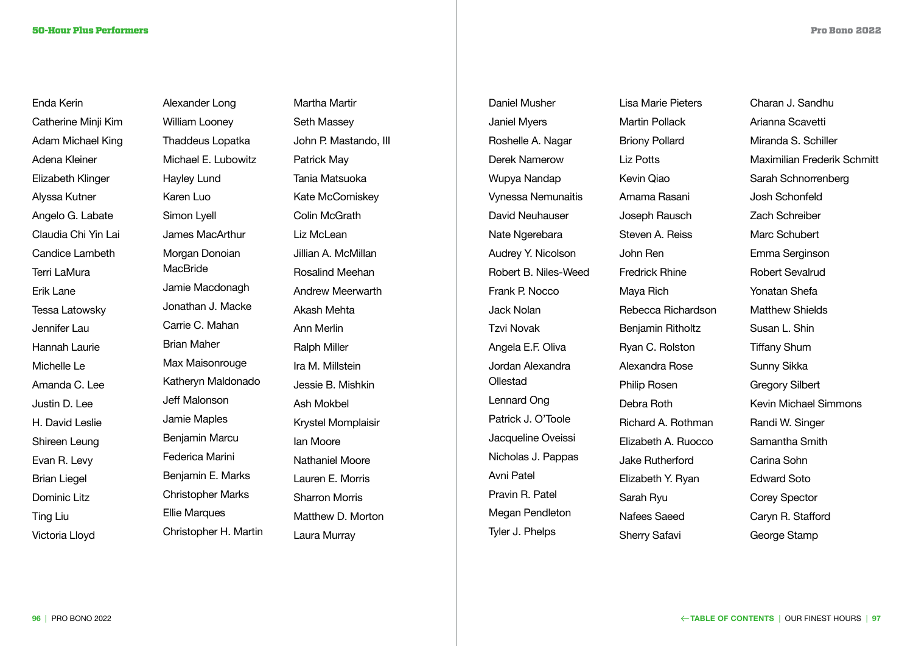Enda Kerin Catherine Minji Kim Adam Michael King Adena Kleiner Elizabeth Klinger Alyssa Kutner Angelo G. Labate Claudia Chi Yin Lai Candice Lambeth Terri LaMura Erik Lane Tessa Latowsky Jennifer Lau Hannah Laurie Michelle Le Amanda C. Lee Justin D. Lee H. David Leslie Shireen Leung Evan R. Levy Brian Liegel Dominic Litz Ting Liu Victoria Lloyd

Alexander Long William Looney Thaddeus Lopatka Michael E. Lubowitz Hayley Lund Karen Luo Simon Lyell James MacArthur Morgan Donoian **MacBride** Jamie Macdonagh Jonathan J. Macke Carrie C. Mahan Brian Maher Max Maisonrouge Katheryn Maldonado Jeff Malonson Jamie Maples Benjamin Marcu Federica Marini Benjamin E. Marks Christopher Marks Ellie Marques Christopher H. Martin Martha Martir Seth Massey John P. Mastando, III Patrick May Tania Matsuoka Kate McComiskey Colin McGrath Liz McLean Jillian A. McMillan Rosalind Meehan Andrew Meerwarth Akash Mehta Ann Merlin Ralph Miller Ira M. Millstein Jessie B. Mishkin Ash Mokbel Krystel Momplaisir Ian Moore Nathaniel Moore Lauren E. Morris Sharron Morris Matthew D. Morton Laura Murray

Lisa Marie Piete Martin Pollack Briony Pollard Liz Potts Kevin Qiao Amama Rasani Joseph Rausch Steven A. Reiss John Ren Fredrick Rhine Maya Rich Rebecca Richar Benjamin Rithol Ryan C. Rolston Alexandra Rose Philip Rosen Debra Roth Richard A. Roth Flizabeth A. Ru Jake Rutherford Elizabeth Y. Rya Sarah Ryu Nafees Saeed Sherry Safavi

Daniel Musher Janiel Myers Roshelle A. Nagar Derek Namerow Wupya Nandap Vynessa Nemunaitis David Neuhauser Nate Ngerebara Audrey Y. Nicolson Robert B. Niles-Weed Frank P. Nocco Jack Nolan Tzvi Novak Angela E.F. Oliva Jordan Alexandra **Ollestad** Lennard Ong Patrick J. O'Toole Jacqueline Oveissi Nicholas J. Pappas Avni Patel Pravin R. Patel Megan Pendleton Tyler J. Phelps

| ers          | Charan J. Sandhu                   |
|--------------|------------------------------------|
|              | Arianna Scavetti                   |
|              | Miranda S. Schiller                |
|              | <b>Maximilian Frederik Schmitt</b> |
|              | Sarah Schnorrenberg                |
|              | <b>Josh Schonfeld</b>              |
|              | <b>Zach Schreiber</b>              |
|              | <b>Marc Schubert</b>               |
|              | Emma Serginson                     |
|              | <b>Robert Sevalrud</b>             |
|              | <b>Yonatan Shefa</b>               |
| rdson        | <b>Matthew Shields</b>             |
| ltz          | Susan L. Shin                      |
| n            | <b>Tiffany Shum</b>                |
| $\mathbf{c}$ | Sunny Sikka                        |
|              | <b>Gregory Silbert</b>             |
|              | <b>Kevin Michael Simmons</b>       |
| າman         | Randi W. Singer                    |
| OCCO         | Samantha Smith                     |
| þ            | Carina Sohn                        |
| an           | <b>Edward Soto</b>                 |
|              | <b>Corey Spector</b>               |
|              | Caryn R. Stafford                  |
|              | George Stamp                       |